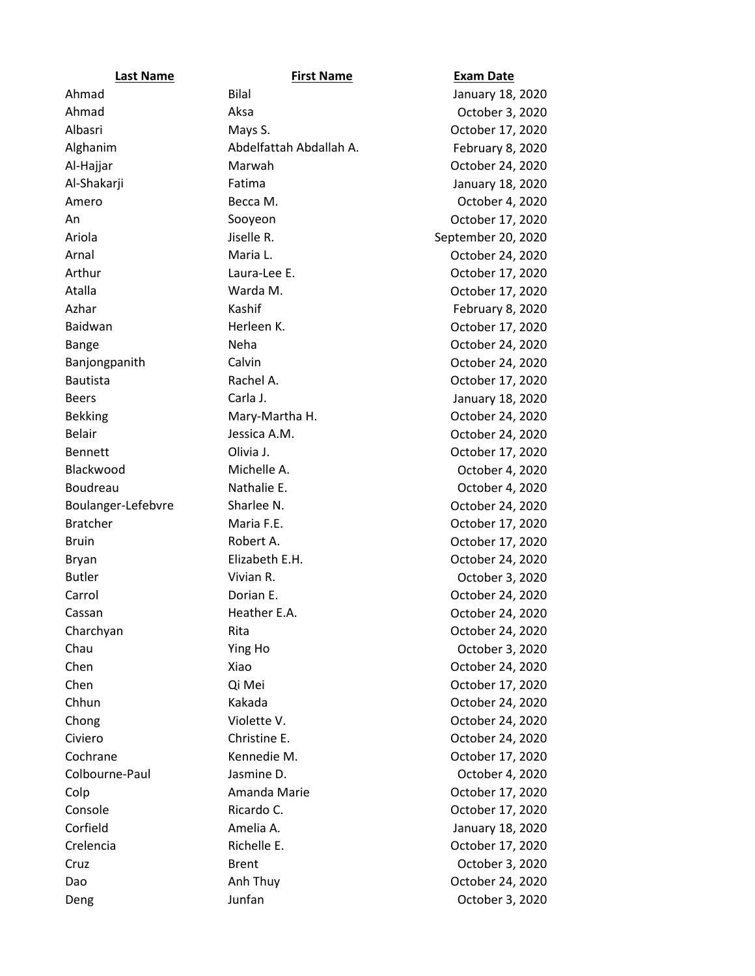| <b>Last Name</b>   | <b>First Name</b>       | <b>Exam Date</b>   |
|--------------------|-------------------------|--------------------|
| Ahmad              | <b>Bilal</b>            | January 18, 2020   |
| Ahmad              | Aksa                    | October 3, 2020    |
| Albasri            | Mays S.                 | October 17, 2020   |
| Alghanim           | Abdelfattah Abdallah A. | February 8, 2020   |
| Al-Hajjar          | Marwah                  | October 24, 2020   |
| Al-Shakarji        | Fatima                  | January 18, 2020   |
| Amero              | Becca M.                | October 4, 2020    |
| An                 | Sooyeon                 | October 17, 2020   |
| Ariola             | Jiselle R.              | September 20, 2020 |
| Arnal              | Maria L.                | October 24, 2020   |
| Arthur             | Laura-Lee E.            | October 17, 2020   |
| Atalla             | Warda M.                | October 17, 2020   |
| Azhar              | Kashif                  | February 8, 2020   |
| Baidwan            | Herleen K.              | October 17, 2020   |
| <b>Bange</b>       | Neha                    | October 24, 2020   |
| Banjongpanith      | Calvin                  | October 24, 2020   |
| <b>Bautista</b>    | Rachel A.               | October 17, 2020   |
| <b>Beers</b>       | Carla J.                | January 18, 2020   |
| <b>Bekking</b>     | Mary-Martha H.          | October 24, 2020   |
| <b>Belair</b>      | Jessica A.M.            | October 24, 2020   |
| <b>Bennett</b>     | Olivia J.               | October 17, 2020   |
| Blackwood          | Michelle A.             | October 4, 2020    |
| Boudreau           | Nathalie E.             | October 4, 2020    |
| Boulanger-Lefebvre | Sharlee N.              | October 24, 2020   |
| <b>Bratcher</b>    | Maria F.E.              | October 17, 2020   |
| <b>Bruin</b>       | Robert A.               | October 17, 2020   |
| <b>Bryan</b>       | Elizabeth E.H.          | October 24, 2020   |
| <b>Butler</b>      | Vivian R.               | October 3, 2020    |
| Carrol             | Dorian E.               | October 24, 2020   |
| Cassan             | Heather E.A.            | October 24, 2020   |
| Charchyan          | Rita                    | October 24, 2020   |
| Chau               | Ying Ho                 | October 3, 2020    |
| Chen               | Xiao                    | October 24, 2020   |
| Chen               | Qi Mei                  | October 17, 2020   |
| Chhun              | Kakada                  | October 24, 2020   |
| Chong              | Violette V.             | October 24, 2020   |
| Civiero            | Christine E.            | October 24, 2020   |
| Cochrane           | Kennedie M.             | October 17, 2020   |
| Colbourne-Paul     | Jasmine D.              | October 4, 2020    |
| Colp               | Amanda Marie            | October 17, 2020   |
| Console            | Ricardo C.              | October 17, 2020   |
| Corfield           | Amelia A.               | January 18, 2020   |
| Crelencia          | Richelle E.             | October 17, 2020   |
| Cruz               | <b>Brent</b>            | October 3, 2020    |
| Dao                | Anh Thuy                | October 24, 2020   |
| Deng               | Junfan                  | October 3, 2020    |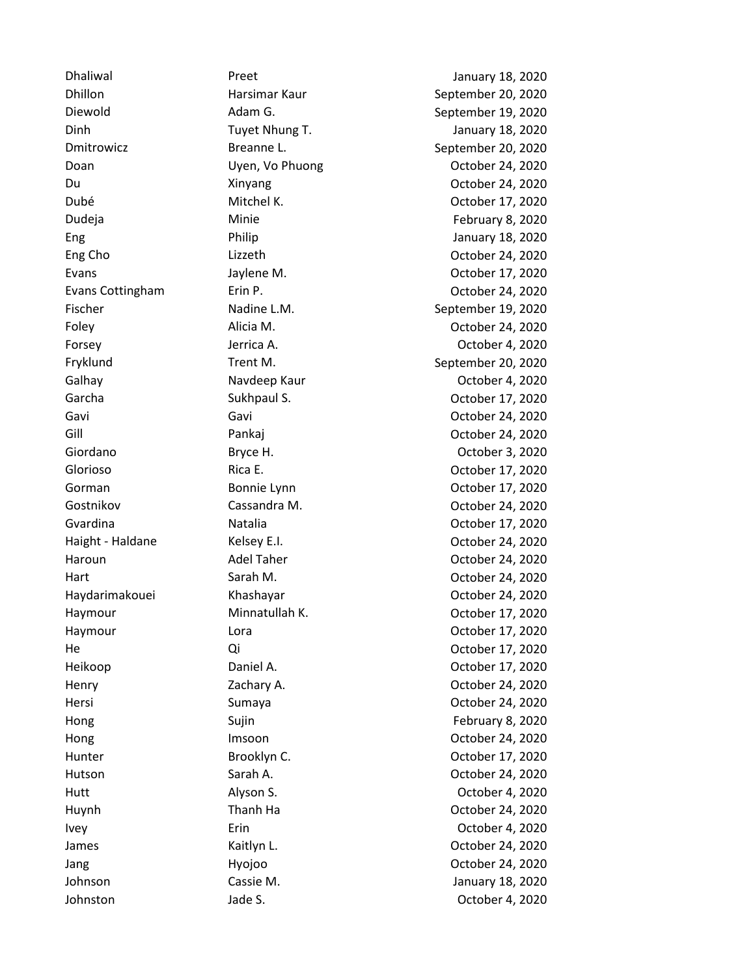Dhillon **Harsimar Kaur** September 20, 2020 Diewold **Adam G.** Adam G. September 19, 2020 Dinh Tuyet Nhung T. January 18, 2020 Dmitrowicz **Breanne L.** September 20, 2020 Doan Uyen, Vo Phuong Corober 24, 2020 Du Xinyang 24, 2020 Dubé Mitchel K. October 17, 2020 Dudeja Minie February 8, 2020 Eng **Philip Philip Community** January 18, 2020 Eng Cho Lizzeth October 24, 2020 Evans Jaylene M. October 17, 2020 Evans Cottingham Erin P. October 24, 2020 Fischer Nadine L.M. September 19, 2020 Foley Alicia M. October 24, 2020 Forsey **Forsey State A.** Jerrica A. **Canadian A.** October 4, 2020 Fryklund Trent M. September 20, 2020 Galhay **Navdeep Kaur** Collection Communication Communication Communication Communication Communication Communication Garcha Christian Sukhpaul S. Christian Superintendent Superintendent Superintendent Superintendent Superintenden Gavi Gavi October 24, 2020 Gill Pankaj October 24, 2020 Giordano Bryce H. October 3, 2020 Glorioso Rica E. October 17, 2020 Gorman Bonnie Lynn Bonnie Lynn Cotober 17, 2020 Gostnikov Cassandra M. October 24, 2020 Gvardina Natalia October 17, 2020 Haight - Haldane Kelsey E.I. October 24, 2020 Haroun **Adel Taher Communist Communist Adel Taher** Cotober 24, 2020 Hart Sarah M. Communication of the Sarah M. Communication of the Sarah M. Haydarimakouei Khashayar October 24, 2020 Haymour Minnatullah K. October 17, 2020 Haymour Lora October 17, 2020 He Qi October 17, 2020 Heikoop Daniel A. October 17, 2020 Henry Zachary A. October 24, 2020 Hersi Sumaya October 24, 2020 Hong Sujin Sujin Sujin February 8, 2020 Hong **Imsoon** Imsoon **Imsoon** Crober 24, 2020 Hunter Brooklyn C. October 17, 2020 Hutson Sarah A. October 24, 2020 Hutt Alyson S. October 4, 2020 Huynh Thanh Ha October 24, 2020 Ivey **Erin** Erin Christian Coronavia Communication Coronavia Coronavia Coronavia Coronavia Coronavia Coronavia Coronavia Coronavia Coronavia Coronavia Coronavia Coronavia Coronavia Coronavia Coronavia Coronavia Coronavia C James Kaitlyn L. October 24, 2020 Jang **Hyojoo** Hyojoo October 24, 2020 Johnson Cassie M. January 18, 2020

Dhaliwal Preet January 18, 2020 Johnston Jade S. Communication Jade S. Communication of the United States of the United States of the Jade States of the United States of the United States of the United States of the United States of the United States of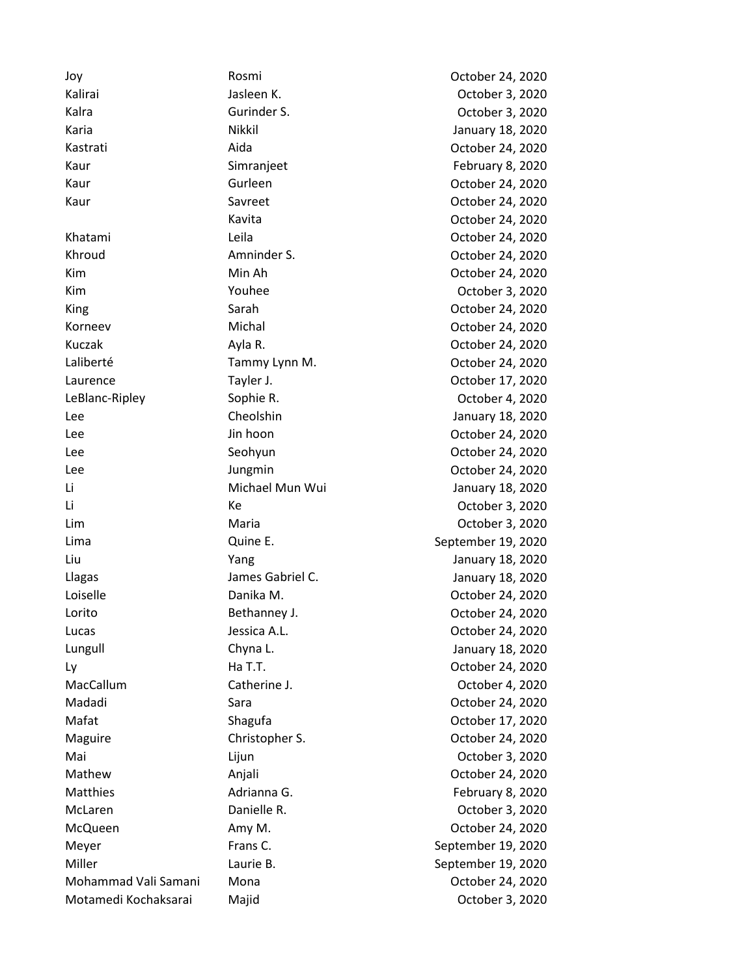Joy Rosmi October 24, 2020 Kalirai **Martia da Luccia da Luccia da Luccia da Luccia da Luccia da Luccia da Luccia da Luccia da Luccia da Lu** Kalra Gurinder S. October 3, 2020 Karia Nikkil January 18, 2020 Kastrati Aida October 24, 2020 Kaur Simranjeet Simmen Solution School and Tebruary 8, 2020 Kaur Gurleen October 24, 2020 Kaur Savreet Communications of the Savreet Communications of the Second Control of the Second Second Second Se Kavita October 24, 2020 Khatami Leila October 24, 2020 Khroud **Amninder S.** Amninder S. Communication American American Control october 24, 2020 Kim Min Ah October 24, 2020 Kim Youhee October 3, 2020 King Sarah Sarah October 24, 2020 Korneev Michal October 24, 2020 Kuczak Ayla R. October 24, 2020 Laliberté Tammy Lynn M. October 24, 2020 Laurence Tayler J. Tayler J. Colober 17, 2020 LeBlanc-Ripley Sophie R. Communication Sophie R. Communication of the Society Art of the Society of the Societ Lee Cheolshin January 18, 2020 Lee Jin hoon Jin hoon Cotober 24, 2020 Lee Seohyun Seohyun Cotober 24, 2020 Lee Jungmin October 24, 2020 Li Michael Mun Wui January 18, 2020 Li Ke October 3, 2020 Lim Maria October 3, 2020 Lima Quine E. September 19, 2020 Liu Yang January 18, 2020 Llagas James Gabriel C. January 18, 2020 Loiselle Danika M. October 24, 2020 Lorito Bethanney J. October 24, 2020 Lucas Jessica A.L. October 24, 2020 Lungull Chyna L. January 18, 2020 Ly Ha T.T. October 24, 2020 MacCallum Catherine J. Catherine J. Catherine D. Catherine D. Catherine D. Catherine D. Catherine D. Catherine Madadi Sara October 24, 2020 Mafat Shagufa October 17, 2020 Maguire **Christopher S.** Christopher S. Christopher S. Christopher S. Containing the Containing October 24, 2020 Mai Lijun Lijun Cotober 3, 2020 Mathew **Anjali** Anjali **Communist Communist Angle** October 24, 2020 Matthies **Matthies** Adrianna G. The Separate Separate Separate Separate Separate Separate Separate Separate Separate Separate Separate Separate Separate Separate Separate Separate Separate Separate Separate Separate Separa McLaren Danielle R. October 3, 2020 McQueen Amy M. October 24, 2020 Meyer Frans C. September 19, 2020 September 19, 2020 Miller **Laurie B.** Caurie B. September 19, 2020 Mohammad Vali Samani Mona October 24, 2020 Motamedi Kochaksarai Majid October 3, 2020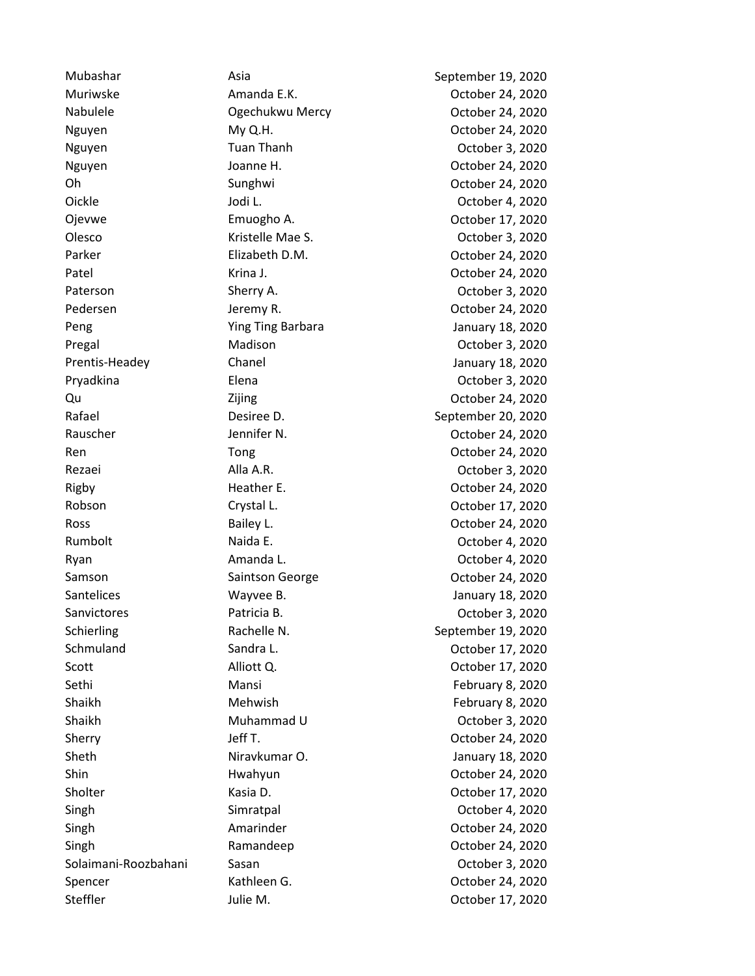Mubashar Asia September 19, 2020 Muriwske Amanda E.K. October 24, 2020 Nabulele Ogechukwu Mercy October 24, 2020 Nguyen My Q.H. Coronave My Q.H. Coronave My Q.H. Nguyen **Tuan Thanh** Coronacter Coronacter Coronacter Coronacter Coronacter Coronacter Coronacter Coronacter Coronacter Coronacter Coronacter Coronacter Coronacter Coronacter Coronacter Coronacter Coronacter Coronacter Coro Nguyen Joanne H. Communist Controller 24, 2020 Oh Sunghwi October 24, 2020 Oickle Jodi L. October 4, 2020 Ojevwe Emuogho A. October 17, 2020 Olesco Kristelle Mae S. October 3, 2020 Parker Elizabeth D.M. October 24, 2020 Patel **Reserve Community Community** Krina J. Community Corporation of Detroits and Detroits of Detroits and Detroit Paterson Sherry A. Sherry A. Cotober 3, 2020 Pedersen and Jeremy R. Communications of the Catalogue of the Coronave Coronave Coronave December 24, 2020 Peng Ying Ting Barbara January 18, 2020 Pregal Madison Madison Coctober 3, 2020 Prentis-Headey Chanel January 18, 2020 Pryadkina **Elena** Elena **Calculation** Elena **Calculation Calculation Calculation C** Qu Zijing October 24, 2020 Rafael **Desiree D.** September 20, 2020 Rauscher Jennifer N. October 24, 2020 Ren Tong Tong Cotober 24, 2020 Rezaei **Alla A.R. Calla A.R. Calla A.R. Calla A.R. Calla A.R. Calla A.R. Calla A.R. Calla A.R. Calla A.R. Calla A.R. Calla A.R. Calla A.R. Calla A.R. Calla A.R. Calla A.R. Calla A.R. Calla A** Rigby **Heather E.** Communication of the United States of the United States of the Material of the Heather E. Robson Crystal L. Crystal L. Crystal Control Control Crystal L. Control Control Crystal L. Ross Bailey L. October 24, 2020 Rumbolt **Naida E. Naida E. Calculation C** October 4, 2020 Ryan **Amanda L.** Corresponding Management Amanda L. Corresponding Management American Corresponding Management A Samson Saintson George Communication Controller Samson October 24, 2020 Santelices Wayvee B. January 18, 2020 Sanvictores Patricia B. October 3, 2020 Schierling Rachelle N. September 19, 2020 Schmuland Sandra L. October 17, 2020 Scott Alliott Q. October 17, 2020 Sethi Mansi February 8, 2020 Shaikh Mehwish February 8, 2020 Shaikh Muhammad U Coctober 3, 2020 Sherry Jeff T. Sherry Detober 24, 2020 Sheth **Niravkumar O.** Niravkumar O. And Manuary 18, 2020 Shin Hwahyun October 24, 2020 Sholter **Kasia D.** Kasia D. Colober 17, 2020 Singh Simratpal October 4, 2020 Singh Amarinder October 24, 2020 Singh **Ramandeep** Company Company Company Company Company October 24, 2020 Solaimani-Roozbahani Sasan **Cambridge 1986** Solaimani-Roozbahani Sasan **October 3, 2020** Spencer **Kathleen G.** Communication Communication Communication Communication Communication Communication Communication Communication Communication Communication Communication Communication Communication Communication Comm

Steffler Julie M. Steffler Julie M. Steffler And Julie M. Steffler And Julie M. Steffler And Julie M.